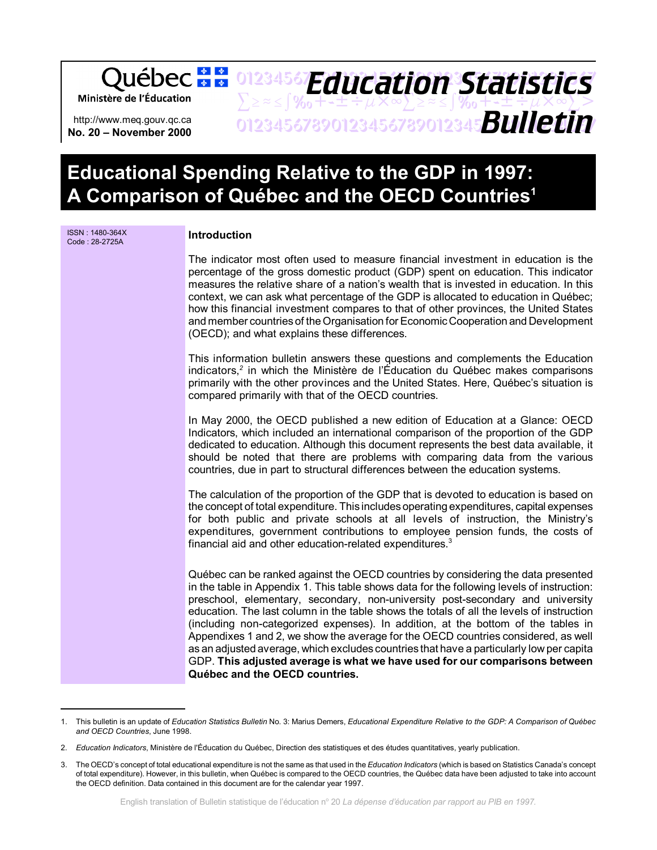01234567**Fducation Statistice** *Education Statistics* Ministère de l'Éducation  $\sum z \approx \int \mathcal{Y}_{0} + t + \pm \div \mu \times \infty$  $\sum z \approx \int \mathcal{Y}_{0} + t + \pm \div \mu \times \infty$  $\sum >$ 01234567890123456789012345678901234567 *Bulletin* http://www.meq.gouv.qc.ca **No. 20 – November 2000**

# **Educational Spending Relative to the GDP in 1997: A Comparison of Québec and the OECD Countries1**

| Introduction                                                                                                                                                                                                                                                                                                                                                                                                                                                                                                                                                                                                                                                                                                                                           |
|--------------------------------------------------------------------------------------------------------------------------------------------------------------------------------------------------------------------------------------------------------------------------------------------------------------------------------------------------------------------------------------------------------------------------------------------------------------------------------------------------------------------------------------------------------------------------------------------------------------------------------------------------------------------------------------------------------------------------------------------------------|
| The indicator most often used to measure financial investment in education is the<br>percentage of the gross domestic product (GDP) spent on education. This indicator<br>measures the relative share of a nation's wealth that is invested in education. In this<br>context, we can ask what percentage of the GDP is allocated to education in Québec;<br>how this financial investment compares to that of other provinces, the United States<br>and member countries of the Organisation for Economic Cooperation and Development<br>(OECD); and what explains these differences.                                                                                                                                                                  |
| This information bulletin answers these questions and complements the Education<br>indicators, <sup>2</sup> in which the Ministère de l'Éducation du Québec makes comparisons<br>primarily with the other provinces and the United States. Here, Québec's situation is<br>compared primarily with that of the OECD countries.                                                                                                                                                                                                                                                                                                                                                                                                                          |
| In May 2000, the OECD published a new edition of Education at a Glance: OECD<br>Indicators, which included an international comparison of the proportion of the GDP<br>dedicated to education. Although this document represents the best data available, it<br>should be noted that there are problems with comparing data from the various<br>countries, due in part to structural differences between the education systems.                                                                                                                                                                                                                                                                                                                        |
| The calculation of the proportion of the GDP that is devoted to education is based on<br>the concept of total expenditure. This includes operating expenditures, capital expenses<br>for both public and private schools at all levels of instruction, the Ministry's<br>expenditures, government contributions to employee pension funds, the costs of<br>financial aid and other education-related expenditures. <sup>3</sup>                                                                                                                                                                                                                                                                                                                        |
| Québec can be ranked against the OECD countries by considering the data presented<br>in the table in Appendix 1. This table shows data for the following levels of instruction:<br>preschool, elementary, secondary, non-university post-secondary and university<br>education. The last column in the table shows the totals of all the levels of instruction<br>(including non-categorized expenses). In addition, at the bottom of the tables in<br>Appendixes 1 and 2, we show the average for the OECD countries considered, as well<br>as an adjusted average, which excludes countries that have a particularly low per capita<br>GDP. This adjusted average is what we have used for our comparisons between<br>Québec and the OECD countries. |
|                                                                                                                                                                                                                                                                                                                                                                                                                                                                                                                                                                                                                                                                                                                                                        |

<sup>1.</sup> This bulletin is an update of *Education Statistics Bulletin* No. 3: Marius Demers, *Educational Expenditure Relative to the GDP: A Comparison of Québec and OECD Countries*, June 1998.

<sup>2.</sup> *Education Indicators*, Ministère de l'Éducation du Québec, Direction des statistiques et des études quantitatives, yearly publication.

<sup>3.</sup> The OECD's concept of total educational expenditure is not the same as that used in the *Education Indicators* (which is based on Statistics Canada's concept of total expenditure). However, in this bulletin, when Québec is compared to the OECD countries, the Québec data have been adjusted to take into account the OECD definition. Data contained in this document are for the calendar year 1997.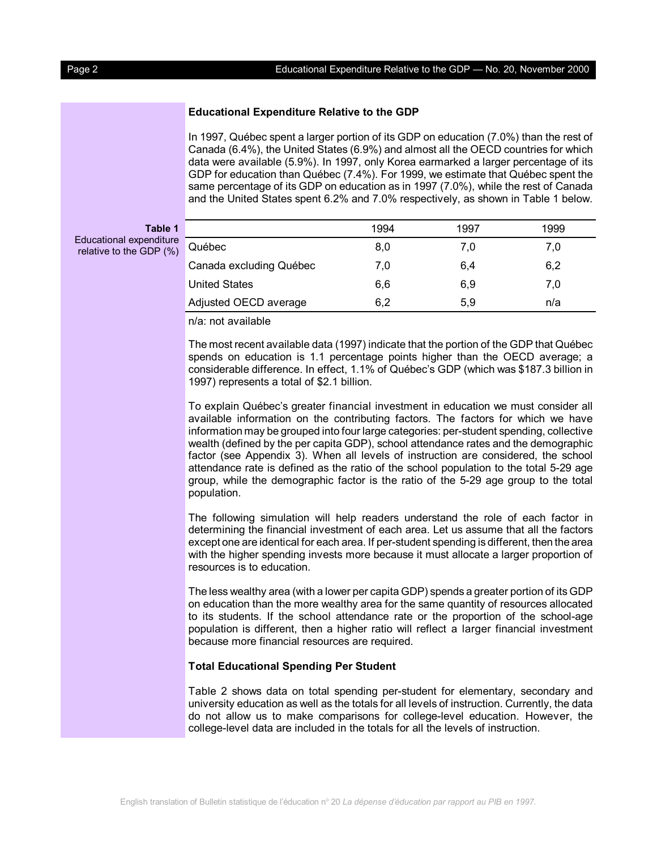# **Educational Expenditure Relative to the GDP**

In 1997, Québec spent a larger portion of its GDP on education (7.0%) than the rest of Canada (6.4%), the United States (6.9%) and almost all the OECD countries for which data were available (5.9%). In 1997, only Korea earmarked a larger percentage of its GDP for education than Québec (7.4%). For 1999, we estimate that Québec spent the same percentage of its GDP on education as in 1997 (7.0%), while the rest of Canada and the United States spent 6.2% and 7.0% respectively, as shown in Table 1 below.

| Educational expenditure |  |  | Table 1 |  |
|-------------------------|--|--|---------|--|
|                         |  |  |         |  |

relative to the GD

| ble 1           |                         | 1994 | 1997 | 1999 |  |
|-----------------|-------------------------|------|------|------|--|
| diture<br>P(% ) | Québec                  | 8,0  | 7.0  | 7,0  |  |
|                 | Canada excluding Québec | 7,0  | 6,4  | 6,2  |  |
|                 | <b>United States</b>    | 6,6  | 6,9  | 7.0  |  |
|                 | Adjusted OECD average   | 6.2  | 5,9  | n/a  |  |

n/a: not available

The most recent available data (1997) indicate that the portion of the GDP that Québec spends on education is 1.1 percentage points higher than the OECD average; a considerable difference. In effect, 1.1% of Québec's GDP (which was \$187.3 billion in 1997) represents a total of \$2.1 billion.

To explain Québec's greater financial investment in education we must consider all available information on the contributing factors. The factors for which we have information may be grouped into four large categories: per-student spending, collective wealth (defined by the per capita GDP), school attendance rates and the demographic factor (see Appendix 3). When all levels of instruction are considered, the school attendance rate is defined as the ratio of the school population to the total 5-29 age group, while the demographic factor is the ratio of the 5-29 age group to the total population.

The following simulation will help readers understand the role of each factor in determining the financial investment of each area. Let us assume that all the factors except one are identical for each area. If per-student spending is different, then the area with the higher spending invests more because it must allocate a larger proportion of resources is to education.

The less wealthy area (with a lower per capita GDP) spends a greater portion of its GDP on education than the more wealthy area for the same quantity of resources allocated to its students. If the school attendance rate or the proportion of the school-age population is different, then a higher ratio will reflect a larger financial investment because more financial resources are required.

# **Total Educational Spending Per Student**

Table 2 shows data on total spending per-student for elementary, secondary and university education as well as the totals for all levels of instruction. Currently, the data do not allow us to make comparisons for college-level education. However, the college-level data are included in the totals for all the levels of instruction.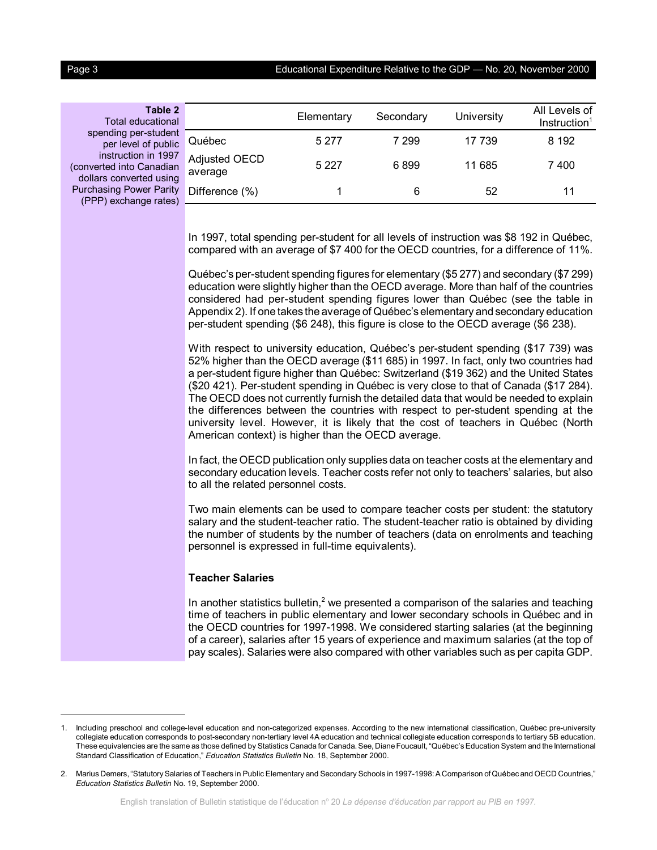Page 3 Educational Expenditure Relative to the GDP — No. 20, November 2000

**Table 2** Total educational spending per-studen per level of public instruction in 1997 (converted into Canadian dollars converted using Purchasing Power Parity (PPP) exchange rates)

|                          | Elementary | Secondary | University | All Levels of<br>Instruction <sup>1</sup> |
|--------------------------|------------|-----------|------------|-------------------------------------------|
| Québec                   | 5 2 7 7    | 7 299     | 17 739     | 8 192                                     |
| Adjusted OECD<br>average | 5 2 2 7    | 6899      | 11 685     | 7400                                      |
| $V$ Difference $(\% )$   |            | 6         | 52         | 11                                        |

In 1997, total spending per-student for all levels of instruction was \$8 192 in Québec, compared with an average of \$7 400 for the OECD countries, for a difference of 11%.

Québec's per-student spending figures for elementary (\$5 277) and secondary (\$7 299) education were slightly higher than the OECD average. More than half of the countries considered had per-student spending figures lower than Québec (see the table in Appendix 2). If one takes the average of Québec's elementary and secondary education per-student spending (\$6 248), this figure is close to the OECD average (\$6 238).

With respect to university education, Québec's per-student spending (\$17 739) was 52% higher than the OECD average (\$11 685) in 1997. In fact, only two countries had a per-student figure higher than Québec: Switzerland (\$19 362) and the United States (\$20 421). Per-student spending in Québec is very close to that of Canada (\$17 284). The OECD does not currently furnish the detailed data that would be needed to explain the differences between the countries with respect to per-student spending at the university level. However, it is likely that the cost of teachers in Québec (North American context) is higher than the OECD average.

In fact, the OECD publication only supplies data on teacher costs at the elementary and secondary education levels. Teacher costs refer not only to teachers' salaries, but also to all the related personnel costs.

Two main elements can be used to compare teacher costs per student: the statutory salary and the student-teacher ratio. The student-teacher ratio is obtained by dividing the number of students by the number of teachers (data on enrolments and teaching personnel is expressed in full-time equivalents).

#### **Teacher Salaries**

In another statistics bulletin, $<sup>2</sup>$  we presented a comparison of the salaries and teaching</sup> time of teachers in public elementary and lower secondary schools in Québec and in the OECD countries for 1997-1998. We considered starting salaries (at the beginning of a career), salaries after 15 years of experience and maximum salaries (at the top of pay scales). Salaries were also compared with other variables such as per capita GDP.

<sup>1.</sup> Including preschool and college-level education and non-categorized expenses. According to the new international classification, Québec pre-university collegiate education corresponds to post-secondary non-tertiary level 4A education and technical collegiate education corresponds to tertiary 5B education. These equivalencies are the same as those defined by Statistics Canada for Canada. See, Diane Foucault, "Québec's Education System and the International Standard Classification of Education," *Education Statistics Bulletin* No. 18, September 2000.

<sup>2.</sup> Marius Demers, "Statutory Salaries of Teachers in Public Elementary and Secondary Schools in 1997-1998: A Comparison of Québec and OECD Countries," *Education Statistics Bulletin* No. 19, September 2000.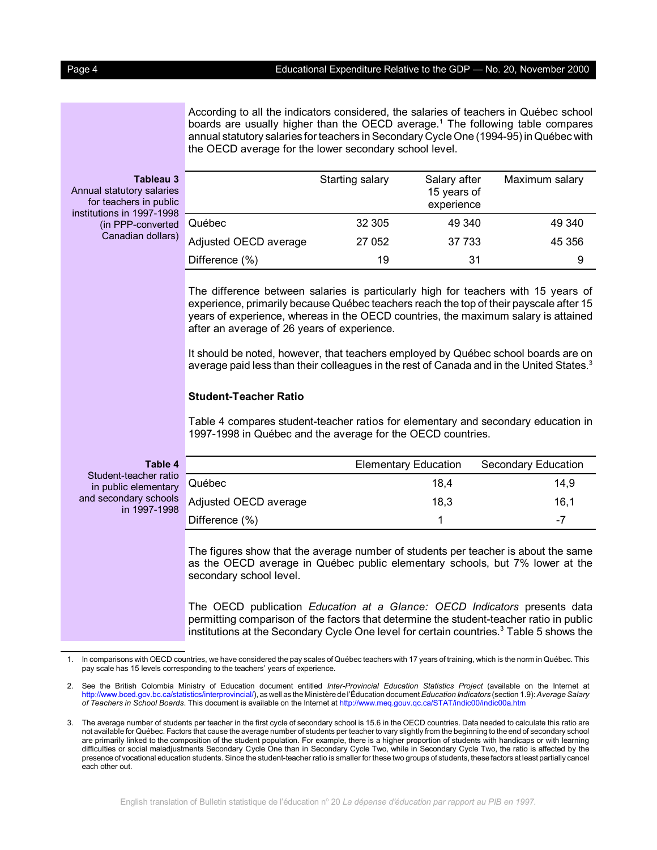#### Page 4 **Educational Expenditure Relative to the GDP** — No. 20, November 2000

According to all the indicators considered, the salaries of teachers in Québec school boards are usually higher than the OECD average.<sup>1</sup> The following table compares annual statutory salaries for teachers in Secondary Cycle One (1994-95) in Québec with the OECD average for the lower secondary school level.

# **Tableau 3**

Annual statutory salaries for teachers in public institutions in 1997-1998 (in PPP-converted Canadian dollars)

|                       | Starting salary | Salary after<br>15 years of<br>experience | Maximum salary |
|-----------------------|-----------------|-------------------------------------------|----------------|
| Québec                | 32 305          | 49 340                                    | 49 340         |
| Adjusted OECD average | 27 052          | 37 733                                    | 45 356         |
| Difference (%)        | 19              | 31                                        | 9              |

The difference between salaries is particularly high for teachers with 15 years of experience, primarily because Québec teachers reach the top of their payscale after 15 years of experience, whereas in the OECD countries, the maximum salary is attained after an average of 26 years of experience.

It should be noted, however, that teachers employed by Québec school boards are on average paid less than their colleagues in the rest of Canada and in the United States.<sup>3</sup>

# **Student-Teacher Ratio**

Table 4 compares student-teacher ratios for elementary and secondary education in 1997-1998 in Québec and the average for the OECD countries.

| Table 4                                       |                                           | <b>Elementary Education</b> | Secondary Education |
|-----------------------------------------------|-------------------------------------------|-----------------------------|---------------------|
| Student-teacher ratio<br>in public elementary | Québec                                    | 18.4                        | 14.9                |
| in 1997-1998                                  | d secondary schools Adjusted OECD average | 18.3                        | 16.1                |
|                                               | Difference (%)                            |                             | -7                  |

The figures show that the average number of students per teacher is about the same as the OECD average in Québec public elementary schools, but 7% lower at the secondary school level.

The OECD publication *Education at a Glance: OECD Indicators* presents data permitting comparison of the factors that determine the student-teacher ratio in public institutions at the Secondary Cycle One level for certain countries.<sup>3</sup> Table 5 shows the

and

<sup>1.</sup> In comparisons with OECD countries, we have considered the pay scales of Québec teachers with 17 years of training, which is the norm in Québec. This pay scale has 15 levels corresponding to the teachers' years of experience.

<sup>2.</sup> See the British Colombia Ministry of Education document entitled *Inter-Provincial Education Statistics Project* (available on the Internet at [http://www.bced.gov.bc.ca/statistics/interprovincial/\),](http://www.bced.gov.bc.ca/statistics/interprovincial/) as well as the Ministère de l'Éducation document *Education Indicators* (section 1.9): *Average Salary of Teachers in School Boards*. This document is available on the Internet at<http://www.meq.gouv.qc.ca/STAT/indic00/indic00a.htm>

<sup>3.</sup> The average number of students per teacher in the first cycle of secondary school is 15.6 in the OECD countries. Data needed to calculate this ratio are not available for Québec. Factors that cause the average number of students per teacher to vary slightly from the beginning to the end of secondary school are primarily linked to the composition of the student population. For example, there is a higher proportion of students with handicaps or with learning difficulties or social maladjustments Secondary Cycle One than in Secondary Cycle Two, while in Secondary Cycle Two, the ratio is affected by the presence of vocational education students. Since the student-teacher ratio is smaller for these two groups of students, these factors at least partially cancel each other out.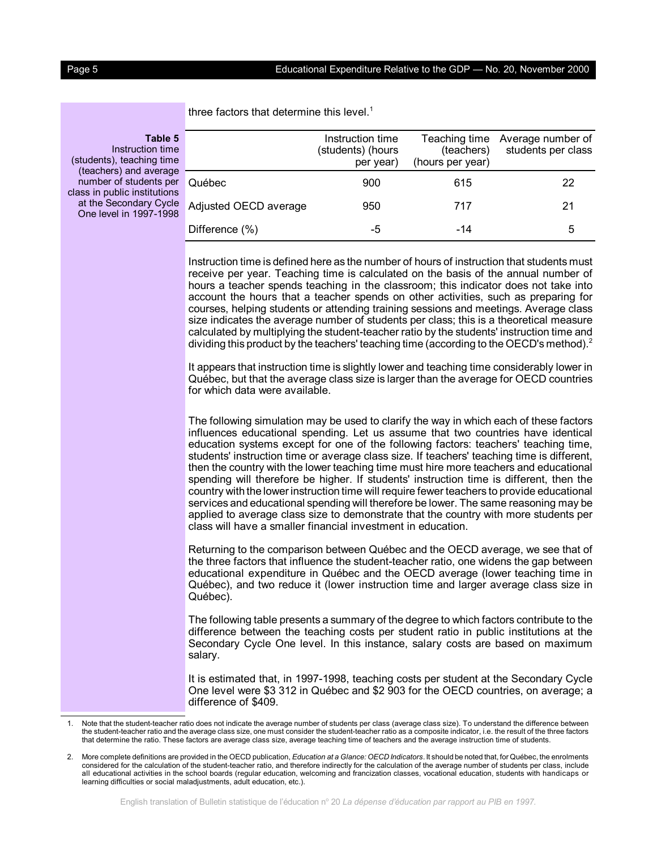| 5<br>ıе<br>۱e  |                       | Instruction time<br>(students) (hours<br>per year) | Teaching time<br>(teachers)<br>(hours per year) | Average number of<br>students per class |
|----------------|-----------------------|----------------------------------------------------|-------------------------------------------------|-----------------------------------------|
| ıе<br>er<br>າຣ | Québec                | 900                                                | 615                                             | 22                                      |
| le<br>រខ       | Adjusted OECD average | 950                                                | 717                                             | 21                                      |
|                | Difference (%)        | -5                                                 | -14                                             | 5                                       |

three factors that determine this level.<sup>1</sup>

**Table 5** Instruction time (students), teaching tim (teachers) and averag number of students pe class in public institution at the Secondary Cycl One level in 1997-199

> Instruction time is defined here as the number of hours of instruction that students must receive per year. Teaching time is calculated on the basis of the annual number of hours a teacher spends teaching in the classroom; this indicator does not take into account the hours that a teacher spends on other activities, such as preparing for courses, helping students or attending training sessions and meetings. Average class size indicates the average number of students per class; this is a theoretical measure calculated by multiplying the student-teacher ratio by the students' instruction time and dividing this product by the teachers' teaching time (according to the OECD's method). $^2$

> It appears that instruction time is slightly lower and teaching time considerably lower in Québec, but that the average class size is larger than the average for OECD countries for which data were available.

> The following simulation may be used to clarify the way in which each of these factors influences educational spending. Let us assume that two countries have identical education systems except for one of the following factors: teachers' teaching time, students' instruction time or average class size. If teachers' teaching time is different, then the country with the lower teaching time must hire more teachers and educational spending will therefore be higher. If students' instruction time is different, then the country with the lower instruction time will require fewer teachers to provide educational services and educational spending will therefore be lower. The same reasoning may be applied to average class size to demonstrate that the country with more students per class will have a smaller financial investment in education.

> Returning to the comparison between Québec and the OECD average, we see that of the three factors that influence the student-teacher ratio, one widens the gap between educational expenditure in Québec and the OECD average (lower teaching time in Québec), and two reduce it (lower instruction time and larger average class size in Québec).

> The following table presents a summary of the degree to which factors contribute to the difference between the teaching costs per student ratio in public institutions at the Secondary Cycle One level. In this instance, salary costs are based on maximum salary.

> It is estimated that, in 1997-1998, teaching costs per student at the Secondary Cycle One level were \$3 312 in Québec and \$2 903 for the OECD countries, on average; a difference of \$409.

<sup>1.</sup> Note that the student-teacher ratio does not indicate the average number of students per class (average class size). To understand the difference between the student-teacher ratio and the average class size, one must consider the student-teacher ratio as a composite indicator, i.e. the result of the three factors that determine the ratio. These factors are average class size, average teaching time of teachers and the average instruction time of students.

<sup>2.</sup> More complete definitions are provided in the OECD publication, *Education at a Glance: OECD Indicators*. It should be noted that, for Québec, the enrolments considered for the calculation of the student-teacher ratio, and therefore indirectly for the calculation of the average number of students per class, include all educational activities in the school boards (regular education, welcoming and francization classes, vocational education, students with handicaps or learning difficulties or social maladjustments, adult education, etc.).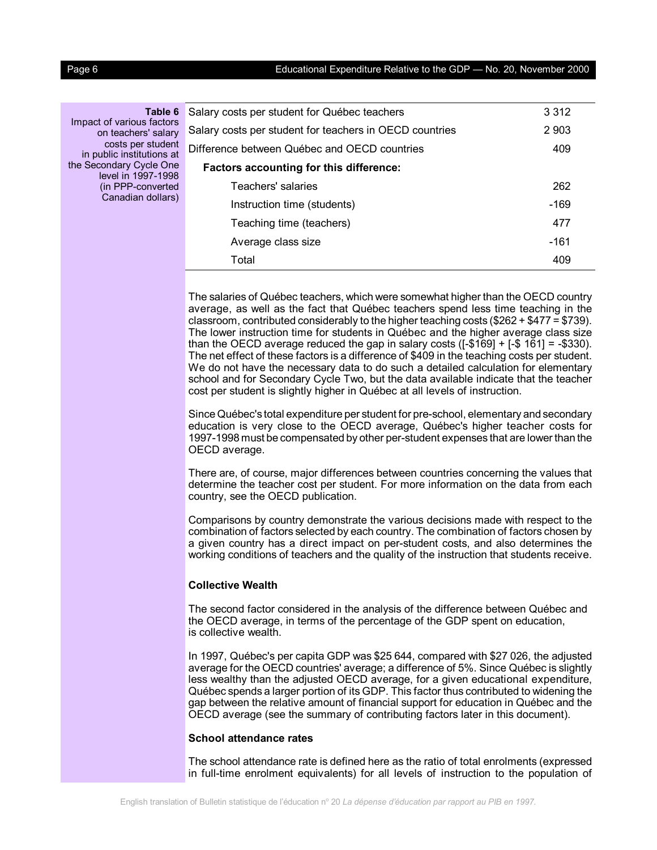Page 6 **Educational Expenditure Relative to the GDP** — No. 20, November 2000

**Table 6** Impact of various factors on teachers' salary costs per student D in public institutions at the Secondary Cycle One level in 1997-1998 (in PPP-converted Canadian dollars)

| Salary costs per student for Québec teachers            | 3 3 1 2 |
|---------------------------------------------------------|---------|
| Salary costs per student for teachers in OECD countries | 2 9 0 3 |
| Difference between Québec and OECD countries            | 409     |
| Factors accounting for this difference:                 |         |
| Teachers' salaries                                      | 262     |
| Instruction time (students)                             | -169    |
| Teaching time (teachers)                                | 477     |
| Average class size                                      | -161    |
| Total                                                   | 409     |

The salaries of Québec teachers, which were somewhat higher than the OECD country average, as well as the fact that Québec teachers spend less time teaching in the classroom, contributed considerably to the higher teaching costs (\$262 + \$477 = \$739). The lower instruction time for students in Québec and the higher average class size than the OECD average reduced the gap in salary costs  $([-$169] + [-$161] = -$330)$ . The net effect of these factors is a difference of \$409 in the teaching costs per student. We do not have the necessary data to do such a detailed calculation for elementary school and for Secondary Cycle Two, but the data available indicate that the teacher cost per student is slightly higher in Québec at all levels of instruction.

Since Québec's total expenditure per student for pre-school, elementary and secondary education is very close to the OECD average, Québec's higher teacher costs for 1997-1998 must be compensated by other per-student expenses that are lower than the OECD average.

There are, of course, major differences between countries concerning the values that determine the teacher cost per student. For more information on the data from each country, see the OECD publication.

Comparisons by country demonstrate the various decisions made with respect to the combination of factors selected by each country. The combination of factors chosen by a given country has a direct impact on per-student costs, and also determines the working conditions of teachers and the quality of the instruction that students receive.

#### **Collective Wealth**

The second factor considered in the analysis of the difference between Québec and the OECD average, in terms of the percentage of the GDP spent on education, is collective wealth.

In 1997, Québec's per capita GDP was \$25 644, compared with \$27 026, the adjusted average for the OECD countries' average; a difference of 5%. Since Québec is slightly less wealthy than the adjusted OECD average, for a given educational expenditure, Québec spends a larger portion of its GDP. This factor thus contributed to widening the gap between the relative amount of financial support for education in Québec and the OECD average (see the summary of contributing factors later in this document).

# **School attendance rates**

The school attendance rate is defined here as the ratio of total enrolments (expressed in full-time enrolment equivalents) for all levels of instruction to the population of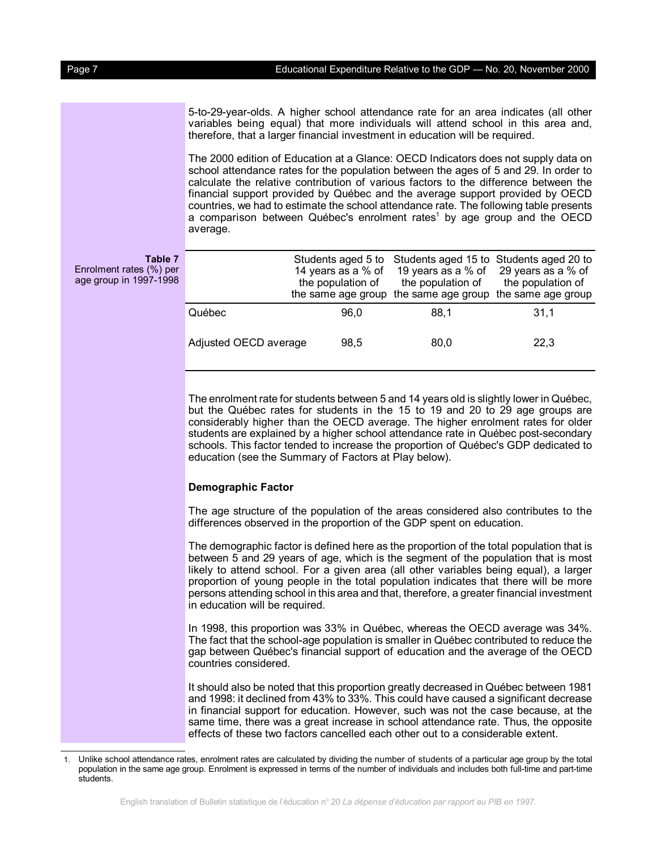5-to-29-year-olds. A higher school attendance rate for an area indicates (all other variables being equal) that more individuals will attend school in this area and, therefore, that a larger financial investment in education will be required.

The 2000 edition of Education at a Glance: OECD Indicators does not supply data on school attendance rates for the population between the ages of 5 and 29. In order to calculate the relative contribution of various factors to the difference between the financial support provided by Québec and the average support provided by OECD countries, we had to estimate the school attendance rate. The following table presents a comparison between Québec's enrolment rates<sup>1</sup> by age group and the OECD average.

**Table 7** Enrolment rates (%) per age group in 1997-1998

|                       | Students aged 5 to<br>14 years as a % of<br>the population of<br>the same age group | 19 years as a % of 29 years as a % of<br>the population of<br>the same age group | Students aged 15 to Students aged 20 to<br>the population of<br>the same age group |
|-----------------------|-------------------------------------------------------------------------------------|----------------------------------------------------------------------------------|------------------------------------------------------------------------------------|
| Québec                | 96.0                                                                                | 88.1                                                                             | 31,1                                                                               |
| Adjusted OECD average | 98,5                                                                                | 80,0                                                                             | 22,3                                                                               |

The enrolment rate for students between 5 and 14 years old is slightly lower in Québec, but the Québec rates for students in the 15 to 19 and 20 to 29 age groups are considerably higher than the OECD average. The higher enrolment rates for older students are explained by a higher school attendance rate in Québec post-secondary schools. This factor tended to increase the proportion of Québec's GDP dedicated to education (see the Summary of Factors at Play below).

#### **Demographic Factor**

The age structure of the population of the areas considered also contributes to the differences observed in the proportion of the GDP spent on education.

The demographic factor is defined here as the proportion of the total population that is between 5 and 29 years of age, which is the segment of the population that is most likely to attend school. For a given area (all other variables being equal), a larger proportion of young people in the total population indicates that there will be more persons attending school in this area and that, therefore, a greater financial investment in education will be required.

In 1998, this proportion was 33% in Québec, whereas the OECD average was 34%. The fact that the school-age population is smaller in Québec contributed to reduce the gap between Québec's financial support of education and the average of the OECD countries considered.

It should also be noted that this proportion greatly decreased in Québec between 1981 and 1998: it declined from 43% to 33%. This could have caused a significant decrease in financial support for education. However, such was not the case because, at the same time, there was a great increase in school attendance rate. Thus, the opposite effects of these two factors cancelled each other out to a considerable extent.

<sup>1.</sup> Unlike school attendance rates, enrolment rates are calculated by dividing the number of students of a particular age group by the total population in the same age group. Enrolment is expressed in terms of the number of individuals and includes both full-time and part-time students.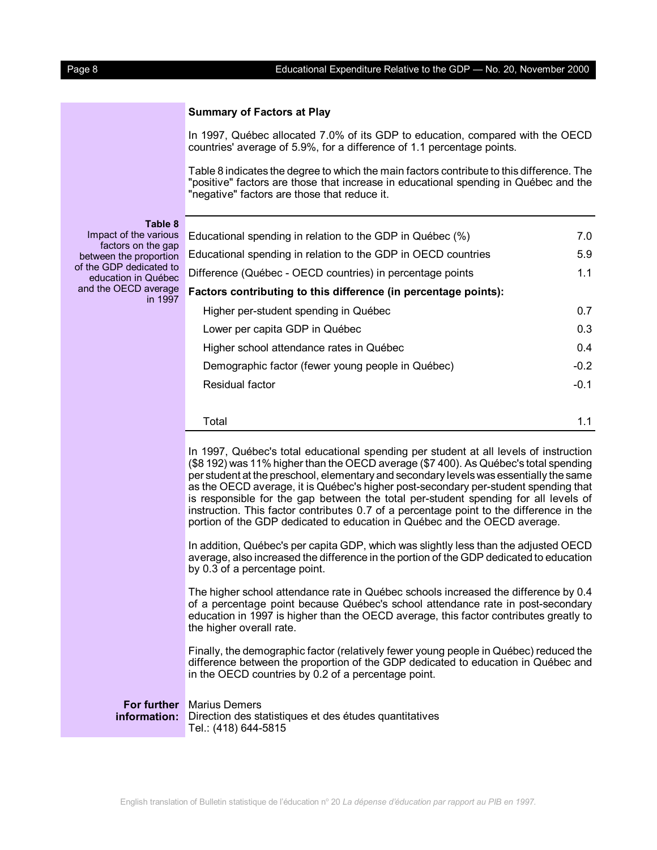# **Summary of Factors at Play**

In 1997, Québec allocated 7.0% of its GDP to education, compared with the OECD countries' average of 5.9%, for a difference of 1.1 percentage points.

Table 8 indicates the degree to which the main factors contribute to this difference. The "positive" factors are those that increase in educational spending in Québec and the "negative" factors are those that reduce it.

**Table 8**

Impact of the various F factors on the gap between the proportion E of the GDP dedicated to education in Québec and the OECD average **F** in 1997

| Educational spending in relation to the GDP in Québec (%)       | 7.0    |
|-----------------------------------------------------------------|--------|
| Educational spending in relation to the GDP in OECD countries   | 5.9    |
| Difference (Québec - OECD countries) in percentage points       | 1.1    |
| Factors contributing to this difference (in percentage points): |        |
| Higher per-student spending in Québec                           | 0.7    |
| Lower per capita GDP in Québec                                  | 0.3    |
| Higher school attendance rates in Québec                        | 0.4    |
| Demographic factor (fewer young people in Québec)               | $-0.2$ |
| Residual factor                                                 | $-0.1$ |
|                                                                 |        |
| Total                                                           | 1.1    |

In 1997, Québec's total educational spending per student at all levels of instruction (\$8 192) was 11% higher than the OECD average (\$7 400). As Québec's total spending per student at the preschool, elementary and secondary levels was essentially the same as the OECD average, it is Québec's higher post-secondary per-student spending that is responsible for the gap between the total per-student spending for all levels of instruction. This factor contributes 0.7 of a percentage point to the difference in the portion of the GDP dedicated to education in Québec and the OECD average.

In addition, Québec's per capita GDP, which was slightly less than the adjusted OECD average, also increased the difference in the portion of the GDP dedicated to education by 0.3 of a percentage point.

The higher school attendance rate in Québec schools increased the difference by 0.4 of a percentage point because Québec's school attendance rate in post-secondary education in 1997 is higher than the OECD average, this factor contributes greatly to the higher overall rate.

Finally, the demographic factor (relatively fewer young people in Québec) reduced the difference between the proportion of the GDP dedicated to education in Québec and in the OECD countries by 0.2 of a percentage point.

**For further** Marius Demers **information:** Direction des statistiques et des études quantitatives Tel.: (418) 644-5815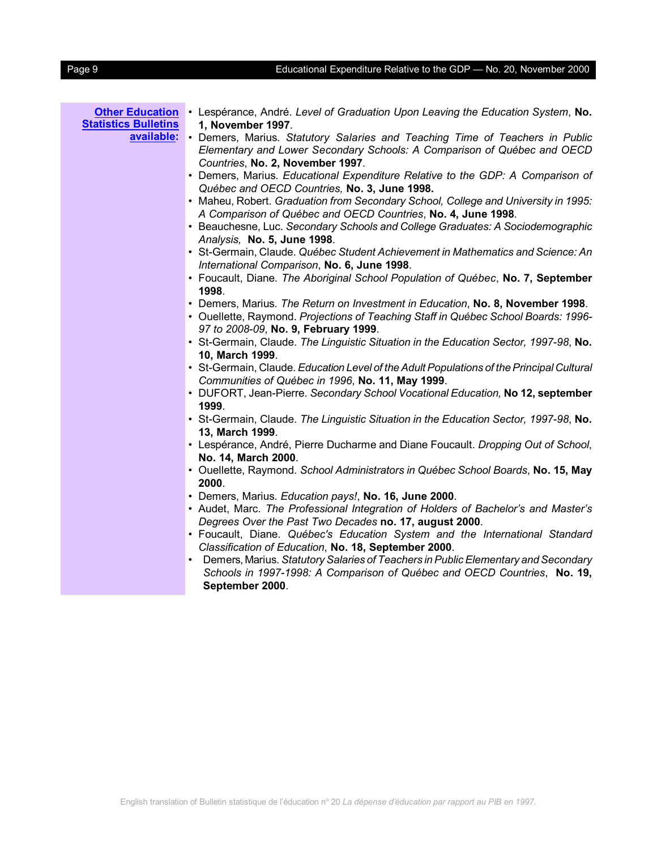# Page 9 Educational Expenditure Relative to the GDP — No. 20, November 2000

| <b>Other Education</b><br><b>Statistics Bulletins</b><br>available: | • Lespérance, André. Level of Graduation Upon Leaving the Education System, No.<br>1, November 1997.<br>• Demers, Marius. Statutory Salaries and Teaching Time of Teachers in Public                         |
|---------------------------------------------------------------------|--------------------------------------------------------------------------------------------------------------------------------------------------------------------------------------------------------------|
|                                                                     | Elementary and Lower Secondary Schools: A Comparison of Québec and OECD<br>Countries, No. 2, November 1997.                                                                                                  |
|                                                                     | • Demers, Marius. Educational Expenditure Relative to the GDP: A Comparison of<br>Québec and OECD Countries, No. 3, June 1998.                                                                               |
|                                                                     | • Maheu, Robert. Graduation from Secondary School, College and University in 1995:<br>A Comparison of Québec and OECD Countries, No. 4, June 1998.                                                           |
|                                                                     | • Beauchesne, Luc. Secondary Schools and College Graduates: A Sociodemographic<br>Analysis, No. 5, June 1998.                                                                                                |
|                                                                     | • St-Germain, Claude. Québec Student Achievement in Mathematics and Science: An<br>International Comparison, No. 6, June 1998.                                                                               |
|                                                                     | • Foucault, Diane. The Aboriginal School Population of Québec, No. 7, September<br>1998.                                                                                                                     |
|                                                                     | • Demers, Marius. The Return on Investment in Education, No. 8, November 1998.<br>• Ouellette, Raymond. Projections of Teaching Staff in Québec School Boards: 1996-<br>97 to 2008-09, No. 9, February 1999. |
|                                                                     | • St-Germain, Claude. The Linguistic Situation in the Education Sector, 1997-98, No.<br>10, March 1999.                                                                                                      |
|                                                                     | • St-Germain, Claude. Education Level of the Adult Populations of the Principal Cultural<br>Communities of Québec in 1996, No. 11, May 1999.                                                                 |
|                                                                     | • DUFORT, Jean-Pierre. Secondary School Vocational Education, No 12, september<br>1999.                                                                                                                      |
|                                                                     | • St-Germain, Claude. The Linguistic Situation in the Education Sector, 1997-98, No.<br>13, March 1999.                                                                                                      |
|                                                                     | • Lespérance, André, Pierre Ducharme and Diane Foucault. Dropping Out of School,<br>No. 14, March 2000.                                                                                                      |
|                                                                     | · Ouellette, Raymond. School Administrators in Québec School Boards, No. 15, May<br>2000.                                                                                                                    |
|                                                                     | · Demers, Marius. Education pays!, No. 16, June 2000.<br>• Audet, Marc. The Professional Integration of Holders of Bachelor's and Master's                                                                   |
|                                                                     | Degrees Over the Past Two Decades no. 17, august 2000.<br>• Foucault, Diane. Québec's Education System and the International Standard<br>Classification of Education, No. 18, September 2000.                |
|                                                                     | • Demers, Marius. Statutory Salaries of Teachers in Public Elementary and Secondary<br>Schools in 1997-1998: A Comparison of Québec and OECD Countries, No. 19,<br>September 2000.                           |
|                                                                     |                                                                                                                                                                                                              |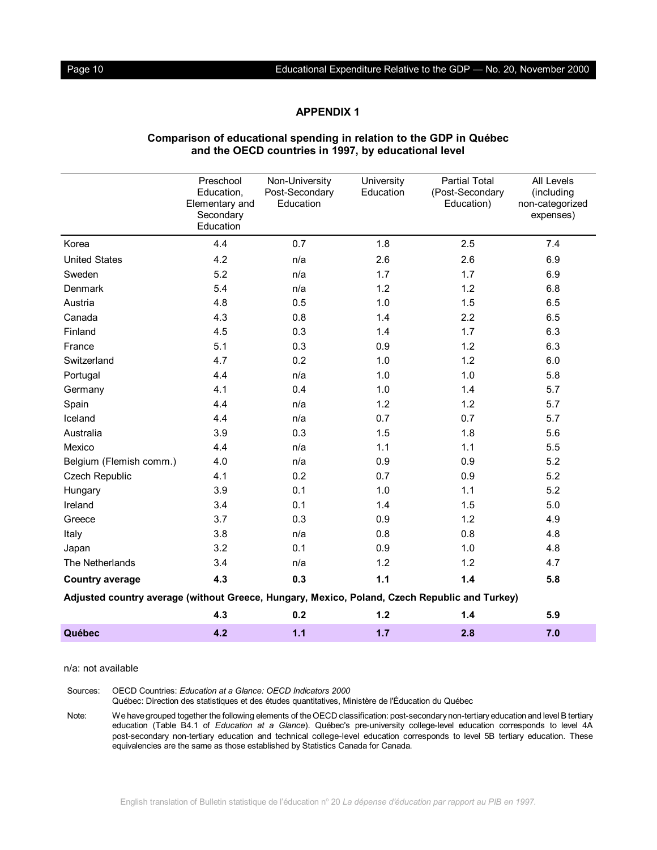# **APPENDIX 1**

|                                                                                               | Preschool<br>Education,                  | Non-University<br>Post-Secondary | University<br>Education | <b>Partial Total</b><br>(Post-Secondary | All Levels<br>(including     |
|-----------------------------------------------------------------------------------------------|------------------------------------------|----------------------------------|-------------------------|-----------------------------------------|------------------------------|
|                                                                                               | Elementary and<br>Secondary<br>Education | Education                        |                         | Education)                              | non-categorized<br>expenses) |
| Korea                                                                                         | 4.4                                      | 0.7                              | 1.8                     | 2.5                                     | 7.4                          |
| <b>United States</b>                                                                          | 4.2                                      | n/a                              | 2.6                     | 2.6                                     | 6.9                          |
| Sweden                                                                                        | 5.2                                      | n/a                              | 1.7                     | 1.7                                     | 6.9                          |
| Denmark                                                                                       | 5.4                                      | n/a                              | 1.2                     | 1.2                                     | 6.8                          |
| Austria                                                                                       | 4.8                                      | 0.5                              | 1.0                     | 1.5                                     | 6.5                          |
| Canada                                                                                        | 4.3                                      | 0.8                              | 1.4                     | 2.2                                     | 6.5                          |
| Finland                                                                                       | 4.5                                      | 0.3                              | 1.4                     | 1.7                                     | 6.3                          |
| France                                                                                        | 5.1                                      | 0.3                              | 0.9                     | 1.2                                     | 6.3                          |
| Switzerland                                                                                   | 4.7                                      | 0.2                              | 1.0                     | 1.2                                     | 6.0                          |
| Portugal                                                                                      | 4.4                                      | n/a                              | 1.0                     | 1.0                                     | 5.8                          |
| Germany                                                                                       | 4.1                                      | 0.4                              | 1.0                     | 1.4                                     | 5.7                          |
| Spain                                                                                         | 4.4                                      | n/a                              | 1.2                     | 1.2                                     | 5.7                          |
| Iceland                                                                                       | 4.4                                      | n/a                              | 0.7                     | 0.7                                     | 5.7                          |
| Australia                                                                                     | 3.9                                      | 0.3                              | 1.5                     | 1.8                                     | 5.6                          |
| Mexico                                                                                        | 4.4                                      | n/a                              | 1.1                     | 1.1                                     | 5.5                          |
| Belgium (Flemish comm.)                                                                       | 4.0                                      | n/a                              | 0.9                     | 0.9                                     | 5.2                          |
| Czech Republic                                                                                | 4.1                                      | 0.2                              | 0.7                     | 0.9                                     | 5.2                          |
| Hungary                                                                                       | 3.9                                      | 0.1                              | 1.0                     | 1.1                                     | 5.2                          |
| Ireland                                                                                       | 3.4                                      | 0.1                              | 1.4                     | 1.5                                     | 5.0                          |
| Greece                                                                                        | 3.7                                      | 0.3                              | 0.9                     | 1.2                                     | 4.9                          |
| Italy                                                                                         | 3.8                                      | n/a                              | 0.8                     | 0.8                                     | 4.8                          |
| Japan                                                                                         | 3.2                                      | 0.1                              | 0.9                     | 1.0                                     | 4.8                          |
| The Netherlands                                                                               | 3.4                                      | n/a                              | 1.2                     | 1.2                                     | 4.7                          |
| <b>Country average</b>                                                                        | 4.3                                      | 0.3                              | $1.1$                   | 1.4                                     | 5.8                          |
| Adjusted country average (without Greece, Hungary, Mexico, Poland, Czech Republic and Turkey) |                                          |                                  |                         |                                         |                              |
|                                                                                               | 4.3                                      | 0.2                              | 1.2                     | 1.4                                     | 5.9                          |
| Québec                                                                                        | 4.2                                      | 1.1                              | 1.7                     | 2.8                                     | 7.0                          |

## **Comparison of educational spending in relation to the GDP in Québec and the OECD countries in 1997, by educational level**

n/a: not available

Sources: OECD Countries: *Education at a Glance: OECD Indicators 2000*

Québec: Direction des statistiques et des études quantitatives, Ministère de l'Éducation du Québec

Note: We have grouped together the following elements of the OECD classification: post-secondary non-tertiary education and level B tertiary education (Table B4.1 of *Education at a Glance*). Québec's pre-university college-level education corresponds to level 4A post-secondary non-tertiary education and technical college-level education corresponds to level 5B tertiary education. These equivalencies are the same as those established by Statistics Canada for Canada.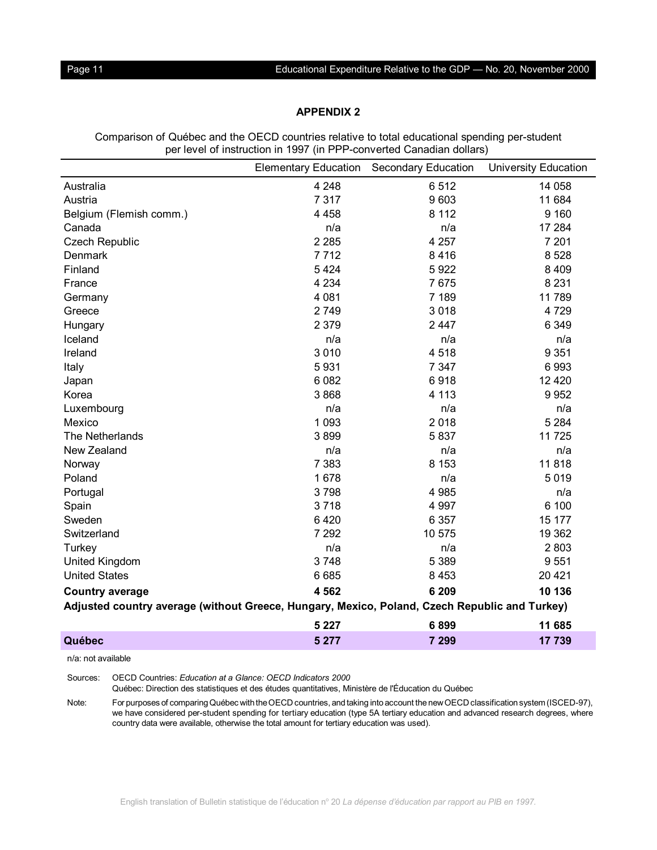# **APPENDIX 2**

Comparison of Québec and the OECD countries relative to total educational spending per-student per level of instruction in 1997 (in PPP-converted Canadian dollars)

|                                                                                               | <b>Elementary Education</b> | <b>Secondary Education</b> | <b>University Education</b> |  |  |
|-----------------------------------------------------------------------------------------------|-----------------------------|----------------------------|-----------------------------|--|--|
| Australia                                                                                     | 4 2 4 8                     | 6512                       | 14 058                      |  |  |
| Austria                                                                                       | 7 3 1 7                     | 9603                       | 11 684                      |  |  |
| Belgium (Flemish comm.)                                                                       | 4 4 5 8                     | 8 1 1 2                    | 9 1 6 0                     |  |  |
| Canada                                                                                        | n/a                         | n/a                        | 17 284                      |  |  |
| <b>Czech Republic</b>                                                                         | 2 2 8 5                     | 4 2 5 7                    | 7 201                       |  |  |
| Denmark                                                                                       | 7712                        | 8416                       | 8 5 28                      |  |  |
| Finland                                                                                       | 5 4 2 4                     | 5922                       | 8 4 0 9                     |  |  |
| France                                                                                        | 4 2 3 4                     | 7675                       | 8 2 3 1                     |  |  |
| Germany                                                                                       | 4 0 8 1                     | 7 189                      | 11789                       |  |  |
| Greece                                                                                        | 2749                        | 3018                       | 4729                        |  |  |
| Hungary                                                                                       | 2 3 7 9                     | 2 4 4 7                    | 6 3 4 9                     |  |  |
| Iceland                                                                                       | n/a                         | n/a                        | n/a                         |  |  |
| Ireland                                                                                       | 3 0 1 0                     | 4518                       | 9 3 5 1                     |  |  |
| Italy                                                                                         | 5931                        | 7 3 4 7                    | 6993                        |  |  |
| Japan                                                                                         | 6 0 8 2                     | 6918                       | 12 4 20                     |  |  |
| Korea                                                                                         | 3868                        | 4 1 1 3                    | 9952                        |  |  |
| Luxembourg                                                                                    | n/a                         | n/a                        | n/a                         |  |  |
| Mexico                                                                                        | 1 0 9 3                     | 2018                       | 5 2 8 4                     |  |  |
| The Netherlands                                                                               | 3899                        | 5837                       | 11725                       |  |  |
| New Zealand                                                                                   | n/a                         | n/a                        | n/a                         |  |  |
| Norway                                                                                        | 7 3 8 3                     | 8 1 5 3                    | 11818                       |  |  |
| Poland                                                                                        | 1 678                       | n/a                        | 5019                        |  |  |
| Portugal                                                                                      | 3798                        | 4 9 8 5                    | n/a                         |  |  |
| Spain                                                                                         | 3718                        | 4 9 9 7                    | 6 100                       |  |  |
| Sweden                                                                                        | 6420                        | 6 3 5 7                    | 15 177                      |  |  |
| Switzerland                                                                                   | 7 292                       | 10 575                     | 19 3 62                     |  |  |
| Turkey                                                                                        | n/a                         | n/a                        | 2803                        |  |  |
| <b>United Kingdom</b>                                                                         | 3748                        | 5 3 8 9                    | 9551                        |  |  |
| <b>United States</b>                                                                          | 6685                        | 8 4 5 3                    | 20 4 21                     |  |  |
| <b>Country average</b>                                                                        | 4 5 6 2                     | 6 209                      | 10 136                      |  |  |
| Adjusted country average (without Greece, Hungary, Mexico, Poland, Czech Republic and Turkey) |                             |                            |                             |  |  |
|                                                                                               | 5 2 2 7                     | 6899                       | 11 685                      |  |  |
| Québec                                                                                        | 5 2 7 7                     | 7 299                      | 17 739                      |  |  |

n/a: not available

Sources: OECD Countries: *Education at a Glance: OECD Indicators 2000*

Québec: Direction des statistiques et des études quantitatives, Ministère de l'Éducation du Québec

Note: For purposes of comparing Québec with the OECD countries, and taking into account the new OECD classification system (ISCED-97), we have considered per-student spending for tertiary education (type 5A tertiary education and advanced research degrees, where country data were available, otherwise the total amount for tertiary education was used).